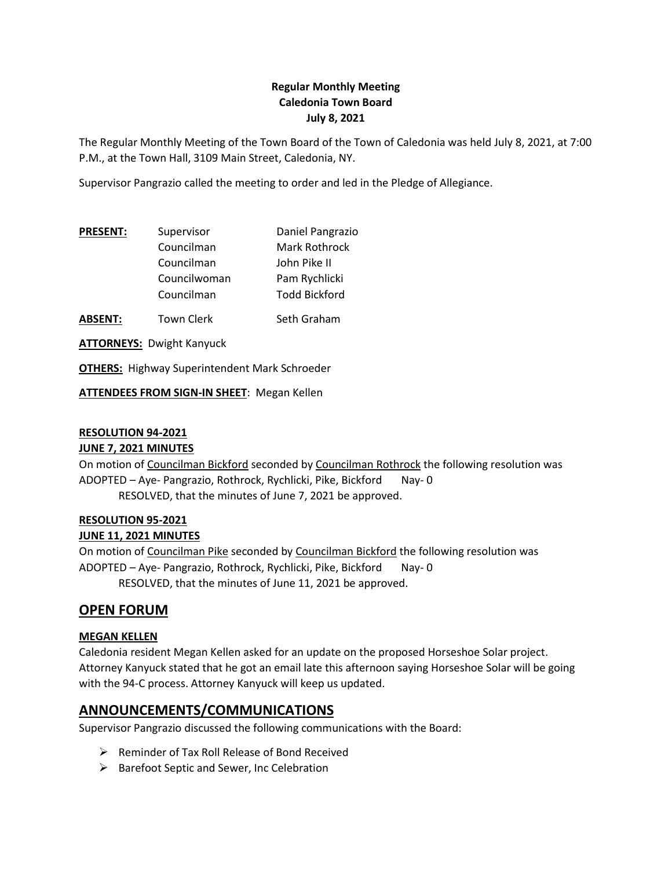## **Regular Monthly Meeting Caledonia Town Board July 8, 2021**

The Regular Monthly Meeting of the Town Board of the Town of Caledonia was held July 8, 2021, at 7:00 P.M., at the Town Hall, 3109 Main Street, Caledonia, NY.

Supervisor Pangrazio called the meeting to order and led in the Pledge of Allegiance.

| <b>PRESENT:</b> | Supervisor   | Daniel Pangrazio     |
|-----------------|--------------|----------------------|
|                 | Councilman   | Mark Rothrock        |
|                 | Councilman   | John Pike II         |
|                 | Councilwoman | Pam Rychlicki        |
|                 | Councilman   | <b>Todd Bickford</b> |
|                 |              |                      |

**ABSENT:** Town Clerk Seth Graham

**ATTORNEYS:** Dwight Kanyuck

**OTHERS:** Highway Superintendent Mark Schroeder

**ATTENDEES FROM SIGN-IN SHEET**: Megan Kellen

### **RESOLUTION 94-2021**

#### **JUNE 7, 2021 MINUTES**

On motion of Councilman Bickford seconded by Councilman Rothrock the following resolution was ADOPTED - Aye- Pangrazio, Rothrock, Rychlicki, Pike, Bickford Nay- 0 RESOLVED, that the minutes of June 7, 2021 be approved.

#### **RESOLUTION 95-2021**

#### **JUNE 11, 2021 MINUTES**

On motion of Councilman Pike seconded by Councilman Bickford the following resolution was ADOPTED – Aye- Pangrazio, Rothrock, Rychlicki, Pike, Bickford Nay- 0 RESOLVED, that the minutes of June 11, 2021 be approved.

# **OPEN FORUM**

#### **MEGAN KELLEN**

Caledonia resident Megan Kellen asked for an update on the proposed Horseshoe Solar project. Attorney Kanyuck stated that he got an email late this afternoon saying Horseshoe Solar will be going with the 94-C process. Attorney Kanyuck will keep us updated.

# **ANNOUNCEMENTS/COMMUNICATIONS**

Supervisor Pangrazio discussed the following communications with the Board:

- ➢ Reminder of Tax Roll Release of Bond Received
- ➢ Barefoot Septic and Sewer, Inc Celebration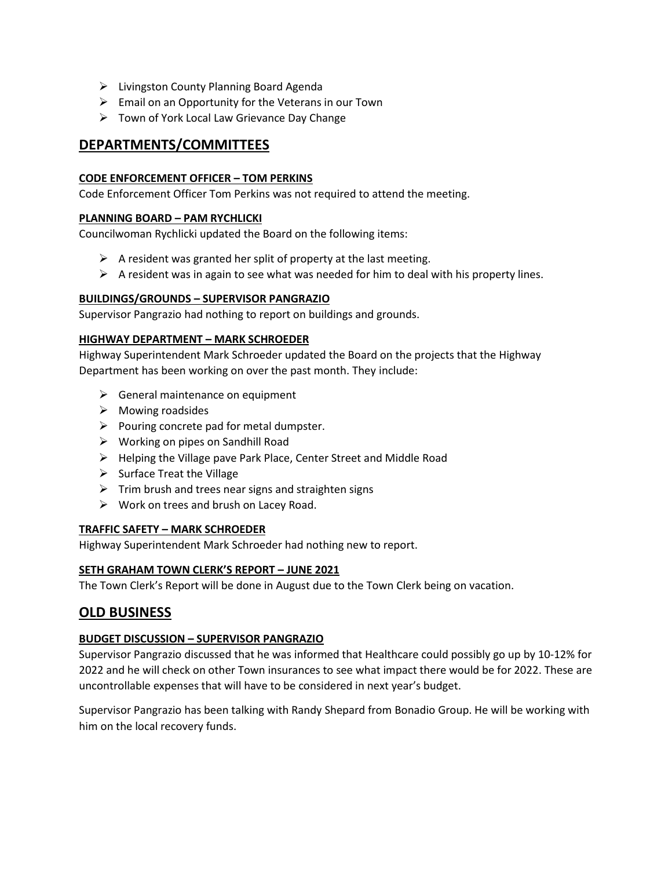- ➢ Livingston County Planning Board Agenda
- $\triangleright$  Email on an Opportunity for the Veterans in our Town
- ➢ Town of York Local Law Grievance Day Change

# **DEPARTMENTS/COMMITTEES**

#### **CODE ENFORCEMENT OFFICER – TOM PERKINS**

Code Enforcement Officer Tom Perkins was not required to attend the meeting.

#### **PLANNING BOARD – PAM RYCHLICKI**

Councilwoman Rychlicki updated the Board on the following items:

- $\triangleright$  A resident was granted her split of property at the last meeting.
- $\triangleright$  A resident was in again to see what was needed for him to deal with his property lines.

#### **BUILDINGS/GROUNDS – SUPERVISOR PANGRAZIO**

Supervisor Pangrazio had nothing to report on buildings and grounds.

#### **HIGHWAY DEPARTMENT – MARK SCHROEDER**

Highway Superintendent Mark Schroeder updated the Board on the projects that the Highway Department has been working on over the past month. They include:

- $\triangleright$  General maintenance on equipment
- ➢ Mowing roadsides
- $\triangleright$  Pouring concrete pad for metal dumpster.
- $\triangleright$  Working on pipes on Sandhill Road
- ➢ Helping the Village pave Park Place, Center Street and Middle Road
- $\triangleright$  Surface Treat the Village
- $\triangleright$  Trim brush and trees near signs and straighten signs
- $\triangleright$  Work on trees and brush on Lacey Road.

#### **TRAFFIC SAFETY – MARK SCHROEDER**

Highway Superintendent Mark Schroeder had nothing new to report.

#### **SETH GRAHAM TOWN CLERK'S REPORT – JUNE 2021**

The Town Clerk's Report will be done in August due to the Town Clerk being on vacation.

## **OLD BUSINESS**

#### **BUDGET DISCUSSION – SUPERVISOR PANGRAZIO**

Supervisor Pangrazio discussed that he was informed that Healthcare could possibly go up by 10-12% for 2022 and he will check on other Town insurances to see what impact there would be for 2022. These are uncontrollable expenses that will have to be considered in next year's budget.

Supervisor Pangrazio has been talking with Randy Shepard from Bonadio Group. He will be working with him on the local recovery funds.